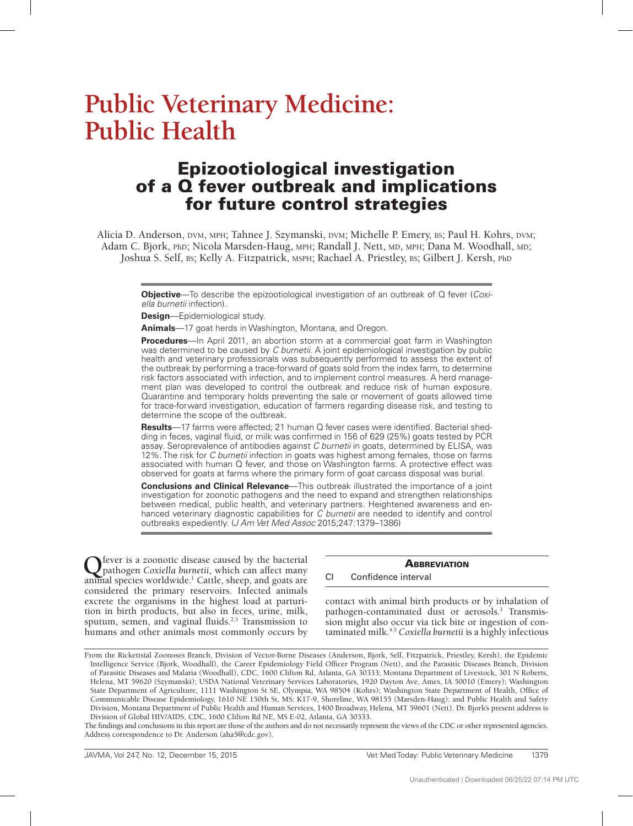# **Public Veterinary Medicine: Public Health**

## Epizootiological investigation of a Q fever outbreak and implications for future control strategies

Alicia D. Anderson, DVM, MPH; Tahnee J. Szymanski, DVM; Michelle P. Emery, BS; Paul H. Kohrs, DVM; Adam C. Bjork, PhD; Nicola Marsden-Haug, MPH; Randall J. Nett, MD, MPH; Dana M. Woodhall, MD; Joshua S. Self, BS; Kelly A. Fitzpatrick, MSPH; Rachael A. Priestley, BS; Gilbert J. Kersh, PhD

> **Objective**—To describe the epizootiological investigation of an outbreak of Q fever (*Coxiella burnetii* infection).

**Design**—Epidemiological study.

**Animals**—17 goat herds in Washington, Montana, and Oregon.

**Procedures**—In April 2011, an abortion storm at a commercial goat farm in Washington was determined to be caused by *C burnetii*. A joint epidemiological investigation by public health and veterinary professionals was subsequently performed to assess the extent of the outbreak by performing a trace-forward of goats sold from the index farm, to determine risk factors associated with infection, and to implement control measures. A herd management plan was developed to control the outbreak and reduce risk of human exposure. Quarantine and temporary holds preventing the sale or movement of goats allowed time for trace-forward investigation, education of farmers regarding disease risk, and testing to determine the scope of the outbreak.

**Results**—17 farms were affected; 21 human Q fever cases were identified. Bacterial shedding in feces, vaginal fluid, or milk was confirmed in 156 of 629 (25%) goats tested by PCR assay. Seroprevalence of antibodies against *C burnetii* in goats, determined by ELISA, was 12%. The risk for *C burnetii* infection in goats was highest among females, those on farms associated with human Q fever, and those on Washington farms. A protective effect was observed for goats at farms where the primary form of goat carcass disposal was burial.

**Conclusions and Clinical Relevance**—This outbreak illustrated the importance of a joint investigation for zoonotic pathogens and the need to expand and strengthen relationships between medical, public health, and veterinary partners. Heightened awareness and enhanced veterinary diagnostic capabilities for *C burnetii* are needed to identify and control outbreaks expediently. (*J Am Vet Med Assoc* 2015;247:1379–1386)

**Q**fever is a zoonotic disease caused by the bacterial pathogen *Coxiella burnetii*, which can affect many animal species worldwide.<sup>1</sup> Cattle, sheep, and goats are considered the primary reservoirs. Infected animals excrete the organisms in the highest load at parturition in birth products, but also in feces, urine, milk, sputum, semen, and vaginal fluids.<sup>2,3</sup> Transmission to humans and other animals most commonly occurs by

#### **ABBREVIATION**

#### CI Confidence interval

contact with animal birth products or by inhalation of pathogen-contaminated dust or aerosols.<sup>1</sup> Transmission might also occur via tick bite or ingestion of contaminated milk.4,5 *Coxiella burnetii* is a highly infectious

From the Rickettsial Zoonoses Branch, Division of Vector-Borne Diseases (Anderson, Bjork, Self, Fitzpatrick, Priestley, Kersh), the Epidemic Intelligence Service (Bjork, Woodhall), the Career Epidemiology Field Officer Program (Nett), and the Parasitic Diseases Branch, Division of Parasitic Diseases and Malaria (Woodhall), CDC, 1600 Clifton Rd, Atlanta, GA 30333; Montana Department of Livestock, 301 N Roberts, Helena, MT 59620 (Szymanski); USDA National Veterinary Services Laboratories, 1920 Dayton Ave, Ames, IA 50010 (Emery); Washington State Department of Agriculture, 1111 Washington St SE, Olympia, WA 98504 (Kohrs); Washington State Department of Health, Office of Communicable Disease Epidemiology, 1610 NE 150th St, MS: K17-9, Shoreline, WA 98155 (Marsden-Haug); and Public Health and Safety Division, Montana Department of Public Health and Human Services, 1400 Broadway, Helena, MT 59601 (Nett). Dr. Bjork's present address is Division of Global HIV/AIDS, CDC, 1600 Clifton Rd NE, MS E-02, Atlanta, GA 30333.

The findings and conclusions in this report are those of the authors and do not necessarily represent the views of the CDC or other represented agencies. Address correspondence to Dr. Anderson (aha5@cdc.gov).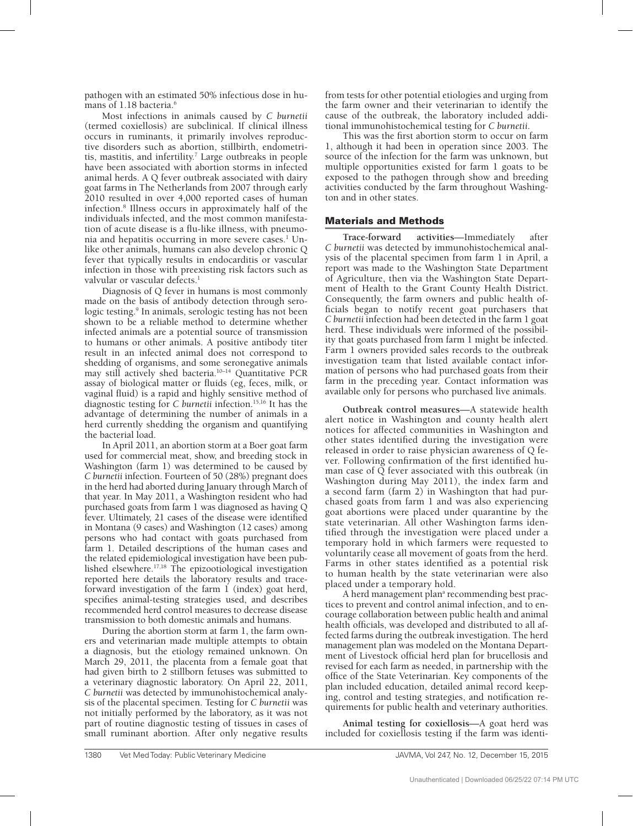pathogen with an estimated 50% infectious dose in humans of 1.18 bacteria.<sup>6</sup>

Most infections in animals caused by *C burnetii*  (termed coxiellosis) are subclinical. If clinical illness occurs in ruminants, it primarily involves reproductive disorders such as abortion, stillbirth, endometritis, mastitis, and infertility.<sup> $7$ </sup> Large outbreaks in people have been associated with abortion storms in infected animal herds. A Q fever outbreak associated with dairy goat farms in The Netherlands from 2007 through early 2010 resulted in over 4,000 reported cases of human infection.8 Illness occurs in approximately half of the individuals infected, and the most common manifestation of acute disease is a flu-like illness, with pneumonia and hepatitis occurring in more severe cases.<sup>1</sup> Unlike other animals, humans can also develop chronic Q fever that typically results in endocarditis or vascular infection in those with preexisting risk factors such as valvular or vascular defects.<sup>1</sup>

Diagnosis of Q fever in humans is most commonly made on the basis of antibody detection through serologic testing.9 In animals, serologic testing has not been shown to be a reliable method to determine whether infected animals are a potential source of transmission to humans or other animals. A positive antibody titer result in an infected animal does not correspond to shedding of organisms, and some seronegative animals may still actively shed bacteria.<sup>10-14</sup> Quantitative PCR assay of biological matter or fluids (eg, feces, milk, or vaginal fluid) is a rapid and highly sensitive method of diagnostic testing for *C burnetii* infection.15,16 It has the advantage of determining the number of animals in a herd currently shedding the organism and quantifying the bacterial load.

In April 2011, an abortion storm at a Boer goat farm used for commercial meat, show, and breeding stock in Washington (farm 1) was determined to be caused by *C burnetii* infection. Fourteen of 50 (28%) pregnant does in the herd had aborted during January through March of that year. In May 2011, a Washington resident who had purchased goats from farm 1 was diagnosed as having Q fever. Ultimately, 21 cases of the disease were identified in Montana (9 cases) and Washington (12 cases) among persons who had contact with goats purchased from farm 1. Detailed descriptions of the human cases and the related epidemiological investigation have been published elsewhere.17,18 The epizootiological investigation reported here details the laboratory results and traceforward investigation of the farm 1 (index) goat herd, specifies animal-testing strategies used, and describes recommended herd control measures to decrease disease transmission to both domestic animals and humans.

During the abortion storm at farm 1, the farm owners and veterinarian made multiple attempts to obtain a diagnosis, but the etiology remained unknown. On March 29, 2011, the placenta from a female goat that had given birth to 2 stillborn fetuses was submitted to a veterinary diagnostic laboratory. On April 22, 2011, *C burnetii* was detected by immunohistochemical analysis of the placental specimen. Testing for *C burnetii* was not initially performed by the laboratory, as it was not part of routine diagnostic testing of tissues in cases of small ruminant abortion. After only negative results

from tests for other potential etiologies and urging from the farm owner and their veterinarian to identify the cause of the outbreak, the laboratory included additional immunohistochemical testing for *C burnetii*.

This was the first abortion storm to occur on farm 1, although it had been in operation since 2003. The source of the infection for the farm was unknown, but multiple opportunities existed for farm 1 goats to be exposed to the pathogen through show and breeding activities conducted by the farm throughout Washington and in other states.

#### Materials and Methods

**Trace-forward activities**—Immediately after *C burnetii* was detected by immunohistochemical analysis of the placental specimen from farm 1 in April, a report was made to the Washington State Department of Agriculture, then via the Washington State Department of Health to the Grant County Health District. Consequently, the farm owners and public health officials began to notify recent goat purchasers that *C burnetii* infection had been detected in the farm 1 goat herd. These individuals were informed of the possibility that goats purchased from farm 1 might be infected. Farm 1 owners provided sales records to the outbreak investigation team that listed available contact information of persons who had purchased goats from their farm in the preceding year. Contact information was available only for persons who purchased live animals.

**Outbreak control measures**—A statewide health alert notice in Washington and county health alert notices for affected communities in Washington and other states identified during the investigation were released in order to raise physician awareness of Q fever. Following confirmation of the first identified human case of Q fever associated with this outbreak (in Washington during May 2011), the index farm and a second farm (farm 2) in Washington that had purchased goats from farm 1 and was also experiencing goat abortions were placed under quarantine by the state veterinarian. All other Washington farms identified through the investigation were placed under a temporary hold in which farmers were requested to voluntarily cease all movement of goats from the herd. Farms in other states identified as a potential risk to human health by the state veterinarian were also placed under a temporary hold.

A herd management plan<sup>a</sup> recommending best practices to prevent and control animal infection, and to encourage collaboration between public health and animal health officials, was developed and distributed to all affected farms during the outbreak investigation. The herd management plan was modeled on the Montana Department of Livestock official herd plan for brucellosis and revised for each farm as needed, in partnership with the office of the State Veterinarian. Key components of the plan included education, detailed animal record keeping, control and testing strategies, and notification requirements for public health and veterinary authorities.

**Animal testing for coxiellosis**—A goat herd was included for coxiellosis testing if the farm was identi-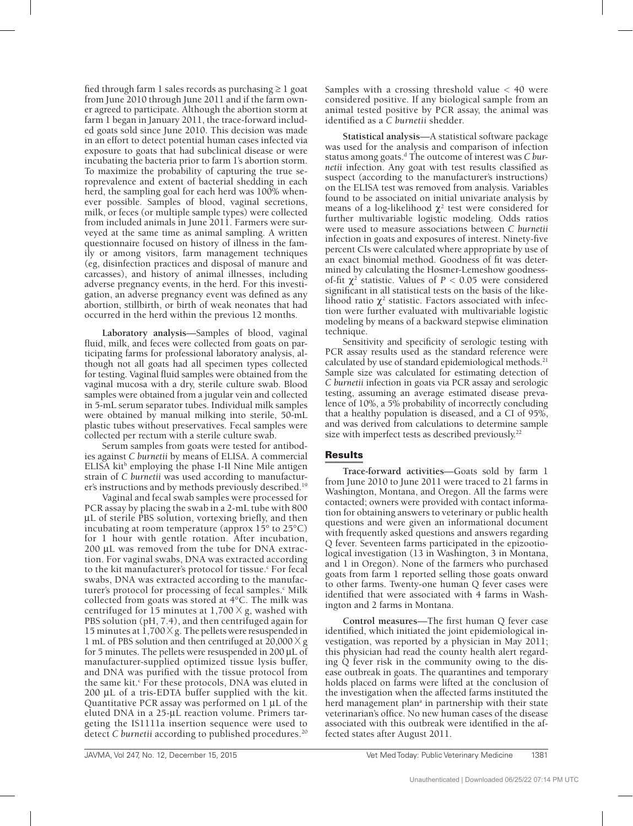fied through farm 1 sales records as purchasing ≥ 1 goat from June 2010 through June 2011 and if the farm owner agreed to participate. Although the abortion storm at farm 1 began in January 2011, the trace-forward included goats sold since June 2010. This decision was made in an effort to detect potential human cases infected via exposure to goats that had subclinical disease or were incubating the bacteria prior to farm 1's abortion storm. To maximize the probability of capturing the true seroprevalence and extent of bacterial shedding in each herd, the sampling goal for each herd was 100% whenever possible. Samples of blood, vaginal secretions, milk, or feces (or multiple sample types) were collected from included animals in June 2011. Farmers were surveyed at the same time as animal sampling. A written questionnaire focused on history of illness in the family or among visitors, farm management techniques (eg, disinfection practices and disposal of manure and carcasses), and history of animal illnesses, including adverse pregnancy events, in the herd. For this investigation, an adverse pregnancy event was defined as any abortion, stillbirth, or birth of weak neonates that had occurred in the herd within the previous 12 months.

**Laboratory analysis**—Samples of blood, vaginal fluid, milk, and feces were collected from goats on participating farms for professional laboratory analysis, although not all goats had all specimen types collected for testing. Vaginal fluid samples were obtained from the vaginal mucosa with a dry, sterile culture swab. Blood samples were obtained from a jugular vein and collected in 5-mL serum separator tubes. Individual milk samples were obtained by manual milking into sterile, 50-mL plastic tubes without preservatives. Fecal samples were collected per rectum with a sterile culture swab.

Serum samples from goats were tested for antibodies against *C burnetii* by means of ELISA. A commercial ELISA kit<sup>b</sup> employing the phase I-II Nine Mile antigen strain of *C burnetii* was used according to manufacturer's instructions and by methods previously described.19

Vaginal and fecal swab samples were processed for PCR assay by placing the swab in a 2-mL tube with 800 µL of sterile PBS solution, vortexing briefly, and then incubating at room temperature (approx 15° to 25°C) for 1 hour with gentle rotation. After incubation, 200 µL was removed from the tube for DNA extraction. For vaginal swabs, DNA was extracted according to the kit manufacturer's protocol for tissue.<sup>c</sup> For fecal swabs, DNA was extracted according to the manufacturer's protocol for processing of fecal samples.<sup>c</sup> Milk collected from goats was stored at 4°C. The milk was centrifuged for 15 minutes at  $1,700 \times g$ , washed with PBS solution (pH, 7.4), and then centrifuged again for 15 minutes at  $1,700 \times g$ . The pellets were resuspended in 1 mL of PBS solution and then centrifuged at  $20,000 \times g$ for 5 minutes. The pellets were resuspended in 200  $\mu$ L of manufacturer-supplied optimized tissue lysis buffer, and DNA was purified with the tissue protocol from the same kit.<sup>c</sup> For these protocols, DNA was eluted in 200 µL of a tris-EDTA buffer supplied with the kit. Quantitative PCR assay was performed on 1 µL of the eluted DNA in a 25-µL reaction volume. Primers targeting the IS1111a insertion sequence were used to detect *C* burnetii according to published procedures.<sup>20</sup>

Samples with a crossing threshold value < 40 were considered positive. If any biological sample from an animal tested positive by PCR assay, the animal was identified as a *C burnetii* shedder.

**Statistical analysis**—A statistical software package was used for the analysis and comparison of infection status among goats.<sup>d</sup> The outcome of interest was *C burnetii* infection. Any goat with test results classified as suspect (according to the manufacturer's instructions) on the ELISA test was removed from analysis. Variables found to be associated on initial univariate analysis by means of a log-likelihood  $\chi^2$  test were considered for further multivariable logistic modeling. Odds ratios were used to measure associations between *C burnetii*  infection in goats and exposures of interest. Ninety-five percent CIs were calculated where appropriate by use of an exact binomial method. Goodness of fit was determined by calculating the Hosmer-Lemeshow goodnessof-fit  $\chi^2$  statistic. Values of *P* < 0.05 were considered significant in all statistical tests on the basis of the likelihood ratio  $\chi^2$  statistic. Factors associated with infection were further evaluated with multivariable logistic modeling by means of a backward stepwise elimination technique.

Sensitivity and specificity of serologic testing with PCR assay results used as the standard reference were calculated by use of standard epidemiological methods.<sup>21</sup> Sample size was calculated for estimating detection of *C burnetii* infection in goats via PCR assay and serologic testing, assuming an average estimated disease prevalence of 10%, a 5% probability of incorrectly concluding that a healthy population is diseased, and a CI of 95%, and was derived from calculations to determine sample size with imperfect tests as described previously.<sup>22</sup>

#### Results

**Trace-forward activities**—Goats sold by farm 1 from June 2010 to June 2011 were traced to 21 farms in Washington, Montana, and Oregon. All the farms were contacted; owners were provided with contact information for obtaining answers to veterinary or public health questions and were given an informational document with frequently asked questions and answers regarding Q fever. Seventeen farms participated in the epizootiological investigation (13 in Washington, 3 in Montana, and 1 in Oregon). None of the farmers who purchased goats from farm 1 reported selling those goats onward to other farms. Twenty-one human Q fever cases were identified that were associated with 4 farms in Washington and 2 farms in Montana.

**Control measures**—The first human Q fever case identified, which initiated the joint epidemiological investigation, was reported by a physician in May 2011; this physician had read the county health alert regarding Q fever risk in the community owing to the disease outbreak in goats. The quarantines and temporary holds placed on farms were lifted at the conclusion of the investigation when the affected farms instituted the herd management plan<sup>a</sup> in partnership with their state veterinarian's office. No new human cases of the disease associated with this outbreak were identified in the affected states after August 2011.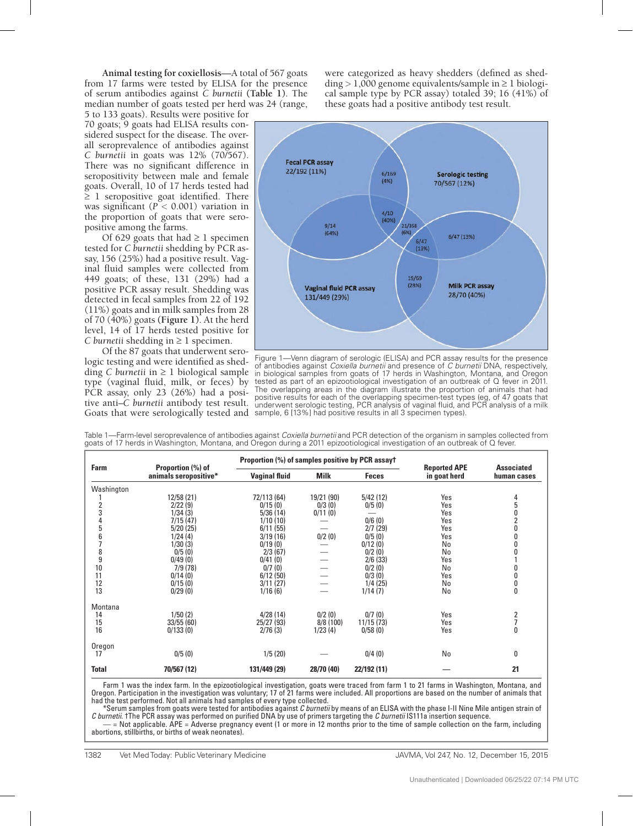**Animal testing for coxiellosis**—A total of 567 goats from 17 farms were tested by ELISA for the presence of serum antibodies against *C burnetii* **(Table 1)**. The median number of goats tested per herd was 24 (range,

5 to 133 goats). Results were positive for 70 goats; 9 goats had ELISA results considered suspect for the disease. The overall seroprevalence of antibodies against *C burnetii* in goats was 12% (70/567). There was no significant difference in seropositivity between male and female goats. Overall, 10 of 17 herds tested had  $\geq 1$  seropositive goat identified. There was significant (*P* < 0.001) variation in the proportion of goats that were seropositive among the farms.

Of 629 goats that had  $\geq 1$  specimen tested for *C burnetii* shedding by PCR assay, 156 (25%) had a positive result. Vaginal fluid samples were collected from 449 goats; of these, 131 (29%) had a positive PCR assay result. Shedding was detected in fecal samples from 22 of 192 (11%) goats and in milk samples from 28 of 70 (40%) goats **(Figure 1)**. At the herd level, 14 of 17 herds tested positive for *C burnetii* shedding in ≥ 1 specimen.

Of the 87 goats that underwent serologic testing and were identified as shedding *C burnetii* in ≥ 1 biological sample type (vaginal fluid, milk, or feces) by PCR assay, only 23 (26%) had a positive anti–*C burnetii* antibody test result. were categorized as heavy shedders (defined as shedding > 1,000 genome equivalents/sample in  $\geq 1$  biological sample type by PCR assay) totaled 39; 16 (41%) of these goats had a positive antibody test result.



Goats that were serologically tested and sample, 6 [13%] had positive results in all 3 specimen types). Figure 1—Venn diagram of serologic (ELISA) and PCR assay results for the presence of antibodies against *Coxiella burnetii* and presence of *C burnetii* DNA, respectively, in biological samples from goats of 17 herds in Washington, Montana, and Oregon tested as part of an epizootiological investigation of an outbreak of Q fever in 2011. The overlapping areas in the diagram illustrate the proportion of animals that had positive results for each of the overlapping specimen-test types (eg, of 47 goats that underwent serologic testing, PCR analysis of vaginal fluid, and PCR analysis of a milk

Table 1—Farm-level seroprevalence of antibodies against *Coxiella burnetii* and PCR detection of the organism in samples collected from goats of 17 herds in Washington, Montana, and Oregon during a 2011 epizootiological investigation of an outbreak of Q fever.

|                           | Proportion (%) of<br>animals seropositive* | Proportion (%) of samples positive by PCR assayt |                               |                                |                                     |                                                             |
|---------------------------|--------------------------------------------|--------------------------------------------------|-------------------------------|--------------------------------|-------------------------------------|-------------------------------------------------------------|
| <b>Farm</b>               |                                            | <b>Vaginal fluid</b>                             | <b>Milk</b>                   | <b>Feces</b>                   | <b>Reported APE</b><br>in goat herd | <b>Associated</b><br>human cases                            |
| Washington                |                                            |                                                  |                               |                                |                                     |                                                             |
| $\overline{2}$            | 12/58 (21)<br>2/22(9)                      | 72/113 (64)<br>0/15(0)                           | 19/21 (90)<br>0/3(0)          | 5/42(12)<br>0/5(0)             | Yes<br>Yes<br>Yes                   | $\frac{4}{5}$                                               |
| 3<br>4<br>5               | 1/34(3)<br>7/15(47)<br>5/20(25)            | 5/36(14)<br>1/10(10)<br>6/11(55)                 | 0/11(0)                       | 0/6(0)<br>2/7(29)              | Yes<br>Yes                          | 0 2 0 0 0 0                                                 |
| 6                         | 1/24(4)<br>1/30(3)                         | 3/19(16)<br>0/19(0)                              | 0/2(0)                        | 0/5(0)<br>0/12(0)              | Yes<br>No                           |                                                             |
| 8<br>9<br>10              | 0/5(0)<br>0/49(0)<br>7/9(78)               | 2/3(67)<br>0/41(0)<br>0/7(0)                     |                               | 0/2(0)<br>2/6(33)<br>0/2(0)    | No<br>Yes<br>No                     | $\bf{0}$<br>0                                               |
| 11<br>12                  | 0/14(0)<br>0/15(0)                         | 6/12(50)<br>3/11(27)                             |                               | 0/3(0)<br>1/4(25)              | Yes<br>No                           | $\mathbf 0$<br>$\begin{smallmatrix} 0\\0 \end{smallmatrix}$ |
| 13                        | 0/29(0)                                    | 1/16(6)                                          |                               | 1/14(7)                        | No                                  |                                                             |
| Montana<br>14<br>15<br>16 | 1/50(2)<br>33/55(60)<br>0/133(0)           | 4/28(14)<br>25/27 (93)<br>2/76(3)                | 0/2(0)<br>8/8(100)<br>1/23(4) | 0/7(0)<br>11/15(73)<br>0/58(0) | Yes<br>Yes<br>Yes                   | $\frac{2}{7}$<br>$\bf{0}$                                   |
| Oregon<br>17              | 0/5(0)                                     | 1/5(20)                                          |                               | 0/4(0)                         | No                                  | 0                                                           |
| <b>Total</b>              | 70/567 (12)                                | 131/449 (29)                                     | 28/70 (40)                    | 22/192 (11)                    |                                     | 21                                                          |

Farm 1 was the index farm. In the epizootiological investigation, goats were traced from farm 1 to 21 farms in Washington, Montana, and Oregon. Participation in the investigation was voluntary; 17 of 21 farms were included. All proportions are based on the number of animals that had the test performed. Not all animals had samples of every type collected.

\*Serum samples from goats were tested for antibodies against *C burnetii* by means of an ELISA with the phase I-II Nine Mile antigen strain of *C burnetii*. †The PCR assay was performed on purified DNA by use of primers targeting the *C burnetii* IS111a insertion sequence.

— = Not applicable. APE = Adverse pregnancy event (1 or more in 12 months prior to the time of sample collection on the farm, including abortions, stillbirths, or births of weak neonates).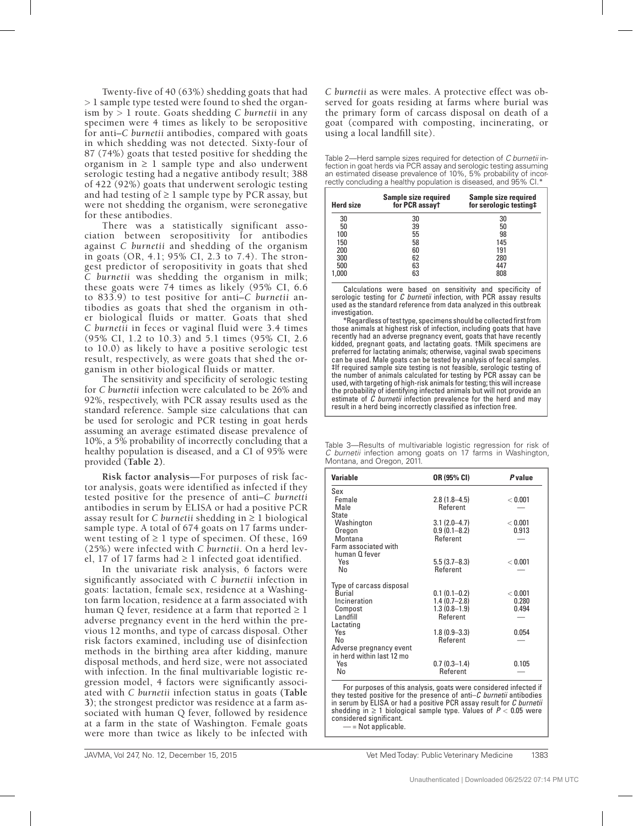Twenty-five of 40 (63%) shedding goats that had > 1 sample type tested were found to shed the organism by > 1 route. Goats shedding *C burnetii* in any specimen were 4 times as likely to be seropositive for anti–*C burnetii* antibodies, compared with goats in which shedding was not detected. Sixty-four of 87 (74%) goats that tested positive for shedding the organism in  $\geq 1$  sample type and also underwent serologic testing had a negative antibody result; 388 of 422 (92%) goats that underwent serologic testing and had testing of  $\geq 1$  sample type by PCR assay, but were not shedding the organism, were seronegative for these antibodies.

There was a statistically significant association between seropositivity for antibodies against *C burnetii* and shedding of the organism in goats (OR, 4.1; 95% CI, 2.3 to 7.4). The strongest predictor of seropositivity in goats that shed *C burnetii* was shedding the organism in milk; these goats were 74 times as likely (95% CI, 6.6 to 833.9) to test positive for anti–*C burnetii* antibodies as goats that shed the organism in other biological fluids or matter. Goats that shed *C burnetii* in feces or vaginal fluid were 3.4 times (95% CI, 1.2 to 10.3) and 5.1 times (95% CI, 2.6 to 10.0) as likely to have a positive serologic test result, respectively, as were goats that shed the organism in other biological fluids or matter.

The sensitivity and specificity of serologic testing for *C burnetii* infection were calculated to be 26% and 92%, respectively, with PCR assay results used as the standard reference. Sample size calculations that can be used for serologic and PCR testing in goat herds assuming an average estimated disease prevalence of 10%, a 5% probability of incorrectly concluding that a healthy population is diseased, and a CI of 95% were provided **(Table 2)**.

**Risk factor analysis**—For purposes of risk factor analysis, goats were identified as infected if they tested positive for the presence of anti–*C burnetti* antibodies in serum by ELISA or had a positive PCR assay result for *C* burnetii shedding in  $\geq 1$  biological sample type. A total of 674 goats on 17 farms underwent testing of  $\geq 1$  type of specimen. Of these, 169 (25%) were infected with *C burnetii*. On a herd level, 17 of 17 farms had  $\geq 1$  infected goat identified.

In the univariate risk analysis, 6 factors were significantly associated with *C burnetii* infection in goats: lactation, female sex, residence at a Washington farm location, residence at a farm associated with human Q fever, residence at a farm that reported  $\geq 1$ adverse pregnancy event in the herd within the previous 12 months, and type of carcass disposal. Other risk factors examined, including use of disinfection methods in the birthing area after kidding, manure disposal methods, and herd size, were not associated with infection. In the final multivariable logistic regression model, 4 factors were significantly associated with *C burnetii* infection status in goats **(Table 3)**; the strongest predictor was residence at a farm associated with human Q fever, followed by residence at a farm in the state of Washington. Female goats were more than twice as likely to be infected with

*C burnetii* as were males. A protective effect was observed for goats residing at farms where burial was the primary form of carcass disposal on death of a goat (compared with composting, incinerating, or using a local landfill site).

Table 2—Herd sample sizes required for detection of *C burnetii* infection in goat herds via PCR assay and serologic testing assuming an estimated disease prevalence of 10%, 5% probability of incorrectly concluding a healthy population is diseased, and 95% CI.\*

| <b>Herd size</b> | Sample size required<br>for PCR assayt | Sample size required<br>for serologic testing‡ |
|------------------|----------------------------------------|------------------------------------------------|
| 30               | 30                                     | 30                                             |
| 50               | 39                                     | 50                                             |
| 100              | 55                                     | 98                                             |
| 150              | 58                                     | 145                                            |
| 200              | 60                                     | 191                                            |
| 300              | 62                                     | 280                                            |
| 500              | 63                                     | 447                                            |
| 1.000            | 63                                     | 808                                            |

Calculations were based on sensitivity and specificity of serologic testing for *C burnetii* infection, with PCR assay results used as the standard reference from data analyzed in this outbreak investigation.

\*Regardless of test type, specimens should be collected first from those animals at highest risk of infection, including goats that have recently had an adverse pregnancy event, goats that have recently kidded, pregnant goats, and lactating goats. †Milk specimens are preferred for lactating animals; otherwise, vaginal swab specimens can be used. Male goats can be tested by analysis of fecal samples. ‡If required sample size testing is not feasible, serologic testing of the number of animals calculated for testing by PCR assay can be used, with targeting of high-risk animals for testing; this will increase the probability of identifying infected animals but will not provide an estimate of *C burnetii* infection prevalence for the herd and may result in a herd being incorrectly classified as infection free.

Table 3—Results of multivariable logistic regression for risk of *C burnetii* infection among goats on 17 farms in Washington, Montana, and Oregon, 2011.

| <b>Variable</b>                                                                                            | OR (95% CI)                                                    | <b>P</b> value            |
|------------------------------------------------------------------------------------------------------------|----------------------------------------------------------------|---------------------------|
| Sex<br>Female<br>Male<br>State                                                                             | $2.8(1.8-4.5)$<br>Referent                                     | < 0.001                   |
| Washington<br>Oregon<br>Montana<br>Farm associated with<br>human Q fever                                   | $3.1(2.0-4.7)$<br>$0.9(0.1 - 8.2)$<br>Referent                 | < 0.001<br>0.913          |
| Yes<br>No                                                                                                  | $5.5(3.7-8.3)$<br>Referent                                     | < 0.001                   |
| Type of carcass disposal<br>Burial<br>Incineration<br>Compost<br>Landfill<br>Lactating                     | $0.1(0.1-0.2)$<br>$1.4(0.7-2.8)$<br>$1.3(0.8-1.9)$<br>Referent | < 0.001<br>0.280<br>0.494 |
| Yes<br>No<br>Adverse pregnancy event<br>in herd within last 12 mo                                          | $1.8(0.9 - 3.3)$<br>Referent                                   | 0.054                     |
| Yes<br>No<br>For a complete that the condition of the complete state of the state of the state of $\Omega$ | $0.7(0.3-1.4)$<br>Referent                                     | 0.105                     |

For purposes of this analysis, goats were considered infected if they tested positive for the presence of anti–*C burnetii* antibodies in serum by ELISA or had a positive PCR assay result for *C burnetii* shedding in  $\geq$  1 biological sample type. Values of  $P < 0.05$  were considered significant. — = Not applicable.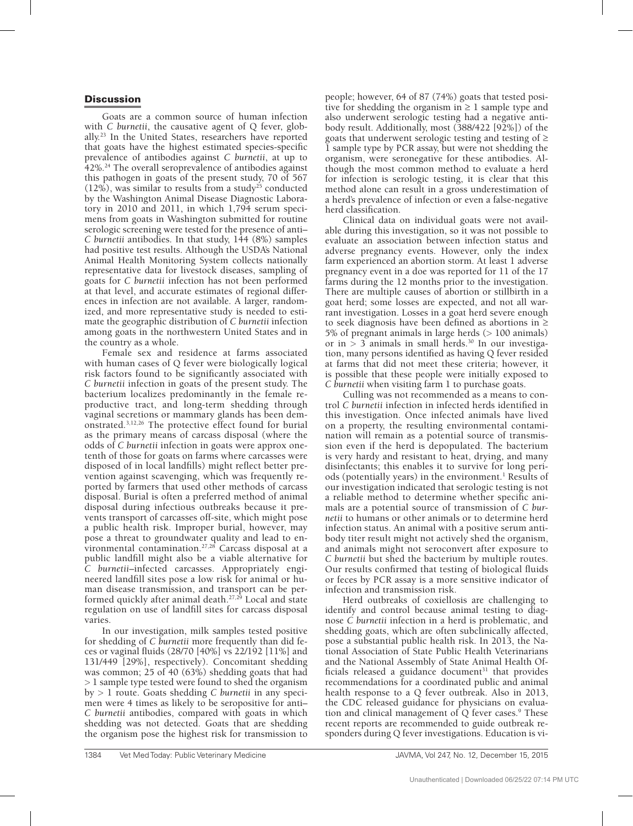#### **Discussion**

Goats are a common source of human infection with *C burnetii*, the causative agent of Q fever, globally.23 In the United States, researchers have reported that goats have the highest estimated species-specific prevalence of antibodies against *C burnetii*, at up to 42%.24 The overall seroprevalence of antibodies against this pathogen in goats of the present study, 70 of 567  $(12\%)$ , was similar to results from a study<sup>25</sup> conducted by the Washington Animal Disease Diagnostic Laboratory in 2010 and 2011, in which 1,794 serum specimens from goats in Washington submitted for routine serologic screening were tested for the presence of anti– *C* burnetii antibodies. In that study, 144 (8%) samples had positive test results. Although the USDA's National Animal Health Monitoring System collects nationally representative data for livestock diseases, sampling of goats for *C burnetii* infection has not been performed at that level, and accurate estimates of regional differences in infection are not available. A larger, randomized, and more representative study is needed to estimate the geographic distribution of *C burnetii* infection among goats in the northwestern United States and in the country as a whole.

Female sex and residence at farms associated with human cases of Q fever were biologically logical risk factors found to be significantly associated with *C burnetii* infection in goats of the present study. The bacterium localizes predominantly in the female reproductive tract, and long-term shedding through vaginal secretions or mammary glands has been demonstrated.3,12,26 The protective effect found for burial as the primary means of carcass disposal (where the odds of *C burnetii* infection in goats were approx onetenth of those for goats on farms where carcasses were disposed of in local landfills) might reflect better prevention against scavenging, which was frequently reported by farmers that used other methods of carcass disposal. Burial is often a preferred method of animal disposal during infectious outbreaks because it prevents transport of carcasses off-site, which might pose a public health risk. Improper burial, however, may pose a threat to groundwater quality and lead to environmental contamination.<sup>27,28</sup> Carcass disposal at a public landfill might also be a viable alternative for *C burnetii*–infected carcasses. Appropriately engineered landfill sites pose a low risk for animal or human disease transmission, and transport can be performed quickly after animal death.<sup>27,29</sup> Local and state regulation on use of landfill sites for carcass disposal varies.

In our investigation, milk samples tested positive for shedding of *C burnetii* more frequently than did feces or vaginal fluids (28/70 [40%] vs 22/192 [11%] and 131/449 [29%], respectively). Concomitant shedding was common; 25 of 40 (63%) shedding goats that had > 1 sample type tested were found to shed the organism by > 1 route. Goats shedding *C burnetii* in any specimen were 4 times as likely to be seropositive for anti– *C burnetii* antibodies, compared with goats in which shedding was not detected. Goats that are shedding the organism pose the highest risk for transmission to

people; however, 64 of 87 (74%) goats that tested positive for shedding the organism in  $\geq 1$  sample type and also underwent serologic testing had a negative antibody result. Additionally, most (388/422 [92%]) of the goats that underwent serologic testing and testing of  $\geq$ 1 sample type by PCR assay, but were not shedding the organism, were seronegative for these antibodies. Although the most common method to evaluate a herd for infection is serologic testing, it is clear that this method alone can result in a gross underestimation of a herd's prevalence of infection or even a false-negative herd classification.

Clinical data on individual goats were not available during this investigation, so it was not possible to evaluate an association between infection status and adverse pregnancy events. However, only the index farm experienced an abortion storm. At least 1 adverse pregnancy event in a doe was reported for 11 of the 17 farms during the 12 months prior to the investigation. There are multiple causes of abortion or stillbirth in a goat herd; some losses are expected, and not all warrant investigation. Losses in a goat herd severe enough to seek diagnosis have been defined as abortions in ≥ 5% of pregnant animals in large herds (> 100 animals) or in  $> 3$  animals in small herds.<sup>30</sup> In our investigation, many persons identified as having Q fever resided at farms that did not meet these criteria; however, it is possible that these people were initially exposed to *C burnetii* when visiting farm 1 to purchase goats.

Culling was not recommended as a means to control *C burnetii* infection in infected herds identified in this investigation. Once infected animals have lived on a property, the resulting environmental contamination will remain as a potential source of transmission even if the herd is depopulated. The bacterium is very hardy and resistant to heat, drying, and many disinfectants; this enables it to survive for long periods (potentially years) in the environment.<sup>1</sup> Results of our investigation indicated that serologic testing is not a reliable method to determine whether specific animals are a potential source of transmission of *C burnetii* to humans or other animals or to determine herd infection status. An animal with a positive serum antibody titer result might not actively shed the organism, and animals might not seroconvert after exposure to *C burnetii* but shed the bacterium by multiple routes. Our results confirmed that testing of biological fluids or feces by PCR assay is a more sensitive indicator of infection and transmission risk.

Herd outbreaks of coxiellosis are challenging to identify and control because animal testing to diagnose *C burnetii* infection in a herd is problematic, and shedding goats, which are often subclinically affected, pose a substantial public health risk. In 2013, the National Association of State Public Health Veterinarians and the National Assembly of State Animal Health Officials released a guidance document $31$  that provides recommendations for a coordinated public and animal health response to a Q fever outbreak. Also in 2013, the CDC released guidance for physicians on evaluation and clinical management of Q fever cases.<sup>9</sup> These recent reports are recommended to guide outbreak responders during Q fever investigations. Education is vi-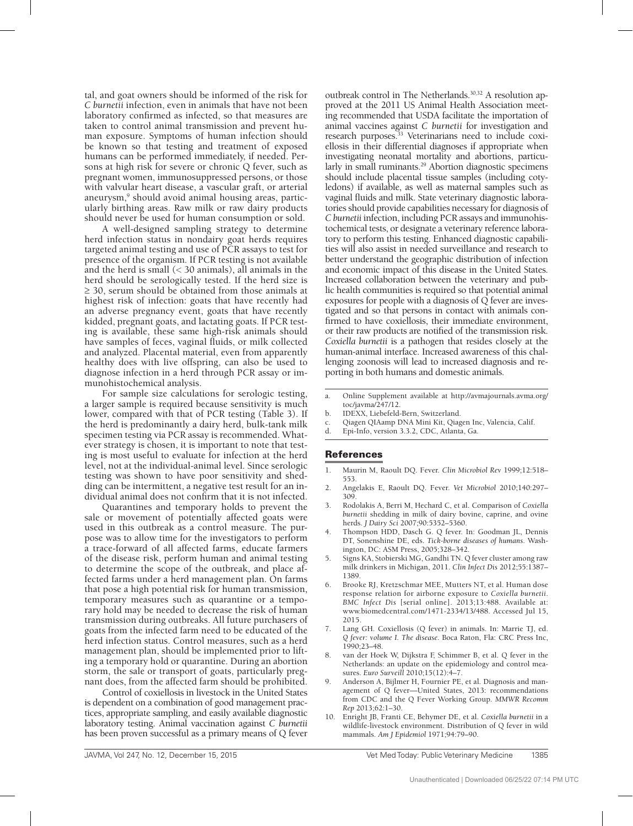tal, and goat owners should be informed of the risk for *C burnetii* infection, even in animals that have not been laboratory confirmed as infected, so that measures are taken to control animal transmission and prevent human exposure. Symptoms of human infection should be known so that testing and treatment of exposed humans can be performed immediately, if needed. Persons at high risk for severe or chronic Q fever, such as pregnant women, immunosuppressed persons, or those with valvular heart disease, a vascular graft, or arterial aneurysm,<sup>9</sup> should avoid animal housing areas, particularly birthing areas. Raw milk or raw dairy products should never be used for human consumption or sold.

A well-designed sampling strategy to determine herd infection status in nondairy goat herds requires targeted animal testing and use of PCR assays to test for presence of the organism. If PCR testing is not available and the herd is small  $(< 30 \text{ animals})$ , all animals in the herd should be serologically tested. If the herd size is ≥ 30, serum should be obtained from those animals at highest risk of infection: goats that have recently had an adverse pregnancy event, goats that have recently kidded, pregnant goats, and lactating goats. If PCR testing is available, these same high-risk animals should have samples of feces, vaginal fluids, or milk collected and analyzed. Placental material, even from apparently healthy does with live offspring, can also be used to diagnose infection in a herd through PCR assay or immunohistochemical analysis.

For sample size calculations for serologic testing, a larger sample is required because sensitivity is much lower, compared with that of PCR testing (Table 3). If the herd is predominantly a dairy herd, bulk-tank milk specimen testing via PCR assay is recommended. Whatever strategy is chosen, it is important to note that testing is most useful to evaluate for infection at the herd level, not at the individual-animal level. Since serologic testing was shown to have poor sensitivity and shedding can be intermittent, a negative test result for an individual animal does not confirm that it is not infected.

Quarantines and temporary holds to prevent the sale or movement of potentially affected goats were used in this outbreak as a control measure. The purpose was to allow time for the investigators to perform a trace-forward of all affected farms, educate farmers of the disease risk, perform human and animal testing to determine the scope of the outbreak, and place affected farms under a herd management plan. On farms that pose a high potential risk for human transmission, temporary measures such as quarantine or a temporary hold may be needed to decrease the risk of human transmission during outbreaks. All future purchasers of goats from the infected farm need to be educated of the herd infection status. Control measures, such as a herd management plan, should be implemented prior to lifting a temporary hold or quarantine. During an abortion storm, the sale or transport of goats, particularly pregnant does, from the affected farm should be prohibited.

Control of coxiellosis in livestock in the United States is dependent on a combination of good management practices, appropriate sampling, and easily available diagnostic laboratory testing. Animal vaccination against *C burnetii* has been proven successful as a primary means of Q fever

outbreak control in The Netherlands.30,32 A resolution approved at the 2011 US Animal Health Association meeting recommended that USDA facilitate the importation of animal vaccines against *C burnetii* for investigation and research purposes.<sup>33</sup> Veterinarians need to include coxiellosis in their differential diagnoses if appropriate when investigating neonatal mortality and abortions, particularly in small ruminants.<sup>29</sup> Abortion diagnostic specimens should include placental tissue samples (including cotyledons) if available, as well as maternal samples such as vaginal fluids and milk. State veterinary diagnostic laboratories should provide capabilities necessary for diagnosis of *C burnetii* infection, including PCR assays and immunohistochemical tests, or designate a veterinary reference laboratory to perform this testing. Enhanced diagnostic capabilities will also assist in needed surveillance and research to better understand the geographic distribution of infection and economic impact of this disease in the United States. Increased collaboration between the veterinary and public health communities is required so that potential animal exposures for people with a diagnosis of  $\overline{Q}$  fever are investigated and so that persons in contact with animals confirmed to have coxiellosis, their immediate environment, or their raw products are notified of the transmission risk. *Coxiella burnetii* is a pathogen that resides closely at the human-animal interface. Increased awareness of this challenging zoonosis will lead to increased diagnosis and reporting in both humans and domestic animals.

- a. Online Supplement available at http://avmajournals.avma.org/ toc/javma/247/12.
- b. IDEXX, Liebefeld-Bern, Switzerland.
- Qiagen QIAamp DNA Mini Kit, Qiagen Inc, Valencia, Calif.
- d. Epi-Info, version 3.3.2, CDC, Atlanta, Ga.

### References

- 1. Maurin M, Raoult DQ. Fever. *Clin Microbiol Rev* 1999;12:518– 553.
- 2. Angelakis E, Raoult DQ. Fever. *Vet Microbiol* 2010;140:297– 309.
- 3. Rodolakis A, Berri M, Hechard C, et al. Comparison of *Coxiella burnetii* shedding in milk of dairy bovine, caprine, and ovine herds. *J Dairy Sci* 2007;90:5352–5360.
- 4. Thompson HDD, Dasch G. Q fever. In: Goodman JL, Dennis DT, Sonenshine DE, eds. *Tick-borne diseases of humans*. Washington, DC: ASM Press, 2005;328–342.
- 5. Signs KA, Stobierski MG, Gandhi TN. Q fever cluster among raw milk drinkers in Michigan, 2011. *Clin Infect Dis* 2012;55:1387– 1389.
- 6. Brooke RJ, Kretzschmar MEE, Mutters NT, et al. Human dose response relation for airborne exposure to *Coxiella burnetii*. *BMC Infect Dis* [serial online]. 2013;13:488. Available at: www.biomedcentral.com/1471-2334/13/488. Accessed Jul 15, 2015.
- 7. Lang GH. Coxiellosis (Q fever) in animals. In: Marrie TJ, ed. *Q fever: volume I. The disease*. Boca Raton, Fla: CRC Press Inc, 1990;23–48.
- 8. van der Hoek W, Dijkstra F, Schimmer B, et al. Q fever in the Netherlands: an update on the epidemiology and control measures. *Euro Surveill* 2010;15(12):4–7.
- 9. Anderson A, Bijlmer H, Fournier PE, et al. Diagnosis and management of Q fever—United States, 2013: recommendations from CDC and the Q Fever Working Group. *MMWR Recomm Rep* 2013;62:1–30.
- 10. Enright JB, Franti CE, Behymer DE, et al. *Coxiella burnetii* in a wildlife-livestock environment. Distribution of Q fever in wild mammals. *Am J Epidemiol* 1971;94:79–90.